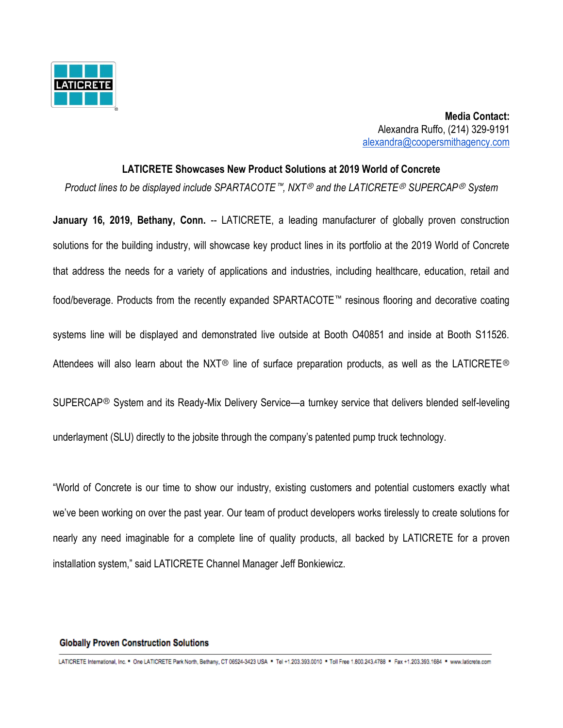

 **Media Contact:** Alexandra Ruffo, (214) 329-9191 [alexandra@coopersmithagency.com](mailto:alexandra@coopersmithagency.com)

#### **LATICRETE Showcases New Product Solutions at 2019 World of Concrete**

*Product lines to be displayed include SPARTACOTE*™*, NXT*Ⓡ *and the LATICRETE*Ⓡ *SUPERCAP*Ⓡ *System*

**January 16, 2019, Bethany, Conn.** -- LATICRETE, a leading manufacturer of globally proven construction solutions for the building industry, will showcase key product lines in its portfolio at the 2019 World of Concrete that address the needs for a variety of applications and industries, including healthcare, education, retail and food/beverage. Products from the recently expanded SPARTACOTE™ resinous flooring and decorative coating systems line will be displayed and demonstrated live outside at Booth O40851 and inside at Booth S11526. Attendees will also learn about the NXT<sup>®</sup> line of surface preparation products, as well as the LATICRETE<sup>®</sup>

SUPERCAP<sup>®</sup> System and its Ready-Mix Delivery Service—a turnkey service that delivers blended self-leveling

underlayment (SLU) directly to the jobsite through the company's patented pump truck technology.

"World of Concrete is our time to show our industry, existing customers and potential customers exactly what we've been working on over the past year. Our team of product developers works tirelessly to create solutions for nearly any need imaginable for a complete line of quality products, all backed by LATICRETE for a proven installation system," said LATICRETE Channel Manager Jeff Bonkiewicz.

#### **Globally Proven Construction Solutions**

LATICRETE International, Inc. \* One LATICRETE Park North, Bethany, CT 06524-3423 USA \* Tel +1.203.393.0010 \* Toll Free 1.800.243.4788 \* Fax +1.203.393.1684 \* www.laticrete.com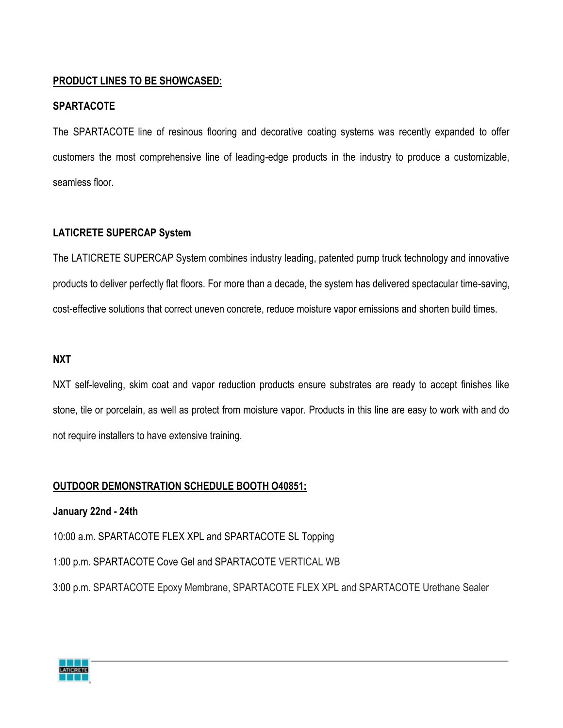## **PRODUCT LINES TO BE SHOWCASED:**

#### **SPARTACOTE**

The SPARTACOTE line of resinous flooring and decorative coating systems was recently expanded to offer customers the most comprehensive line of leading-edge products in the industry to produce a customizable, seamless floor.

## **LATICRETE SUPERCAP System**

The LATICRETE SUPERCAP System combines industry leading, patented pump truck technology and innovative products to deliver perfectly flat floors. For more than a decade, the system has delivered spectacular time-saving, cost-effective solutions that correct uneven concrete, reduce moisture vapor emissions and shorten build times.

#### **NXT**

NXT self-leveling, skim coat and vapor reduction products ensure substrates are ready to accept finishes like stone, tile or porcelain, as well as protect from moisture vapor. Products in this line are easy to work with and do not require installers to have extensive training.

#### **OUTDOOR DEMONSTRATION SCHEDULE BOOTH O40851:**

**January 22nd - 24th** 

10:00 a.m. SPARTACOTE FLEX XPL and SPARTACOTE SL Topping

1:00 p.m. SPARTACOTE Cove Gel and SPARTACOTE VERTICAL WB

3:00 p.m. SPARTACOTE Epoxy Membrane, SPARTACOTE FLEX XPL and SPARTACOTE Urethane Sealer